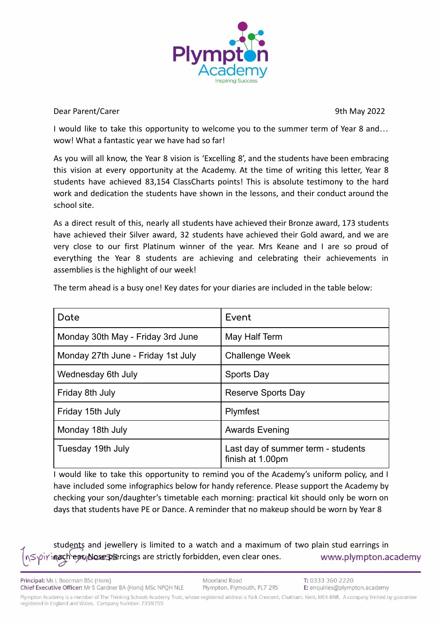

## Dear Parent/Carer 9th May 2022

registered in England and Wales. Company Number: 7359755

I would like to take this opportunity to welcome you to the summer term of Year 8 and… wow! What a fantastic year we have had so far!

As you will all know, the Year 8 vision is 'Excelling 8', and the students have been embracing this vision at every opportunity at the Academy. At the time of writing this letter, Year 8 students have achieved 83,154 ClassCharts points! This is absolute testimony to the hard work and dedication the students have shown in the lessons, and their conduct around the school site.

As a direct result of this, nearly all students have achieved their Bronze award, 173 students have achieved their Silver award, 32 students have achieved their Gold award, and we are very close to our first Platinum winner of the year. Mrs Keane and I are so proud of everything the Year 8 students are achieving and celebrating their achievements in assemblies is the highlight of our week!

| Date                               | Event                                                  |
|------------------------------------|--------------------------------------------------------|
| Monday 30th May - Friday 3rd June  | May Half Term                                          |
| Monday 27th June - Friday 1st July | <b>Challenge Week</b>                                  |
| Wednesday 6th July                 | Sports Day                                             |
| Friday 8th July                    | Reserve Sports Day                                     |
| Friday 15th July                   | Plymfest                                               |
| Monday 18th July                   | <b>Awards Evening</b>                                  |
| Tuesday 19th July                  | Last day of summer term - students<br>finish at 1.00pm |

The term ahead is a busy one! Key dates for your diaries are included in the table below:

I would like to take this opportunity to remind you of the Academy's uniform policy, and I have included some infographics below for handy reference. Please support the Academy by checking your son/daughter's timetable each morning: practical kit should only be worn on days that students have PE or Dance. A reminder that no makeup should be worn by Year 8

students and jewellery is limited to a watch and a maximum of two plain stud earrings in ρiγineach ear. Nose piercings are strictly forbidden, even clear ones. www.plympton.academy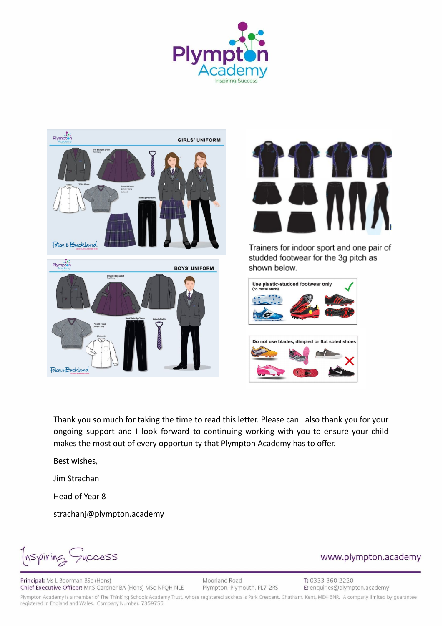



Thank you so much for taking the time to read this letter. Please can I also thank you for your ongoing support and I look forward to continuing working with you to ensure your child makes the most out of every opportunity that Plympton Academy has to offer.

Best wishes,

Jim Strachan

Head of Year 8

strachanj@plympton.academy

Inspiring Success

Principal: Ms L Boorman BSc (Hons) Chief Executive Officer: Mr S Gardner BA (Hons) MSc NPQH NLE

Moorland Road Plympton, Plymouth, PL7 2RS www.plympton.academy

T: 0333 360 2220

E: enquiries@plympton.academy

Plympton Academy is a member of The Thinking Schools Academy Trust, whose registered address is Park Crescent, Chatham, Kent, ME4 6NR. A company limited by guarantee registered in England and Wales. Company Number: 7359755